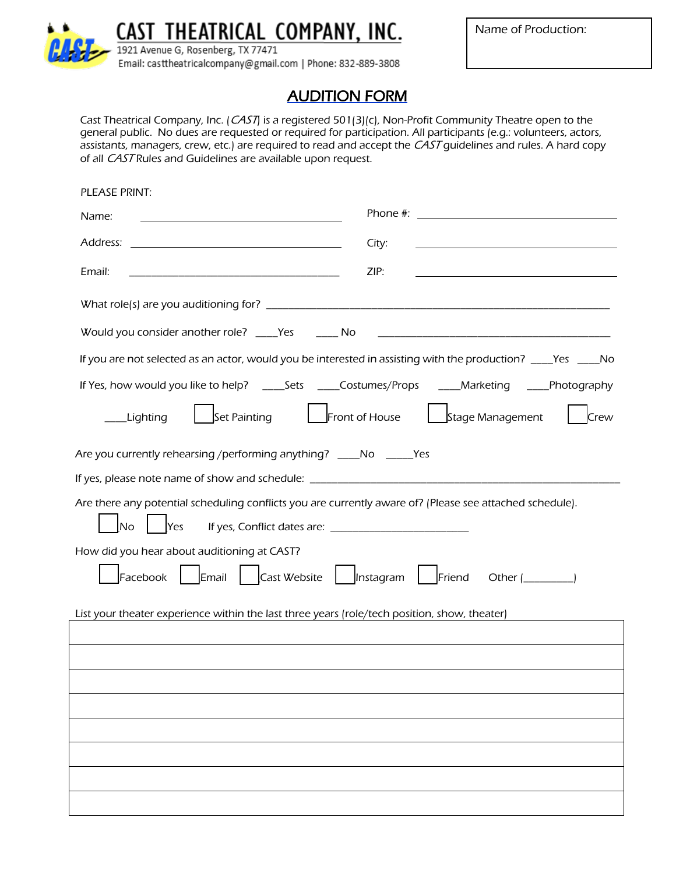

CAST THEATRICAL COMPANY, INC.

Name of Production:

1921 Avenue G, Rosenberg, TX 77471 Email: casttheatricalcompany@gmail.com | Phone: 832-889-3808

## AUDITION FORM

Cast Theatrical Company, Inc. (CAST) is a registered 501(3)(c), Non-Profit Community Theatre open to the general public. No dues are requested or required for participation. All participants (e.g.: volunteers, actors, assistants, managers, crew, etc.) are required to read and accept the CAST guidelines and rules. A hard copy of all CAST Rules and Guidelines are available upon request.

| PLEASE PRINT:                                                                                                                |
|------------------------------------------------------------------------------------------------------------------------------|
| Name:                                                                                                                        |
| City:                                                                                                                        |
| ZIP:<br>Email:                                                                                                               |
|                                                                                                                              |
| Would you consider another role? ____Yes _______ No                                                                          |
| If you are not selected as an actor, would you be interested in assisting with the production? ____Yes ____No                |
|                                                                                                                              |
| Set Painting<br>Front of House<br>Stage Management<br>Lighting<br>Crew                                                       |
| Are you currently rehearsing / performing anything? _____No ______Yes                                                        |
| If yes, please note name of show and schedule: _________________________________                                             |
| Are there any potential scheduling conflicts you are currently aware of? (Please see attached schedule).<br>No<br><b>Yes</b> |
| How did you hear about auditioning at CAST?                                                                                  |
| Email<br>Cast Website<br>$\ $   Instagram<br>Facebook<br>Friend<br>Other ( )                                                 |
| List your theater experience within the last three years (role/tech position, show, theater)                                 |
|                                                                                                                              |
|                                                                                                                              |
|                                                                                                                              |
|                                                                                                                              |
|                                                                                                                              |
|                                                                                                                              |
|                                                                                                                              |
|                                                                                                                              |